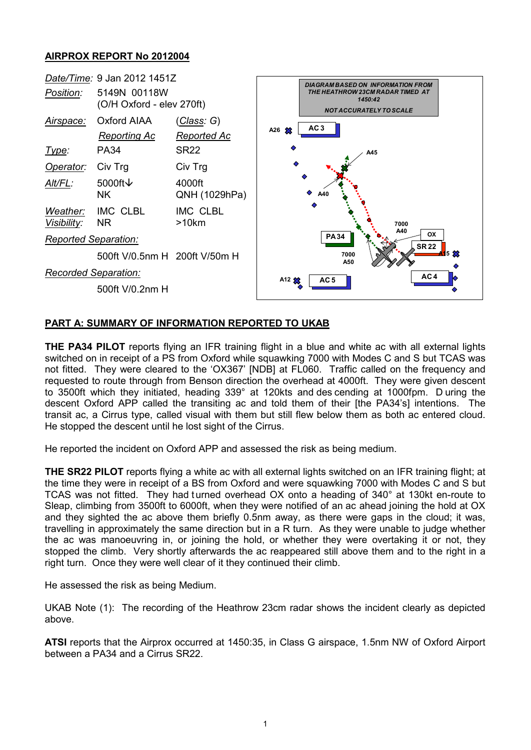## **AIRPROX REPORT No 2012004**



## **PART A: SUMMARY OF INFORMATION REPORTED TO UKAB**

**THE PA34 PILOT** reports flying an IFR training flight in a blue and white ac with all external lights switched on in receipt of a PS from Oxford while squawking 7000 with Modes C and S but TCAS was not fitted. They were cleared to the 'OX367' [NDB] at FL060. Traffic called on the frequency and requested to route through from Benson direction the overhead at 4000ft. They were given descent to 3500ft which they initiated, heading 339° at 120kts and des cending at 1000fpm. D uring the descent Oxford APP called the transiting ac and told them of their [the PA34's] intentions. The transit ac, a Cirrus type, called visual with them but still flew below them as both ac entered cloud. He stopped the descent until he lost sight of the Cirrus.

He reported the incident on Oxford APP and assessed the risk as being medium.

**THE SR22 PILOT** reports flying a white ac with all external lights switched on an IFR training flight; at the time they were in receipt of a BS from Oxford and were squawking 7000 with Modes C and S but TCAS was not fitted. They had turned overhead OX onto a heading of 340° at 130kt en-route to Sleap, climbing from 3500ft to 6000ft, when they were notified of an ac ahead joining the hold at OX and they sighted the ac above them briefly 0.5nm away, as there were gaps in the cloud; it was, travelling in approximately the same direction but in a R turn. As they were unable to judge whether the ac was manoeuvring in, or joining the hold, or whether they were overtaking it or not, they stopped the climb. Very shortly afterwards the ac reappeared still above them and to the right in a right turn. Once they were well clear of it they continued their climb.

He assessed the risk as being Medium.

UKAB Note (1): The recording of the Heathrow 23cm radar shows the incident clearly as depicted above.

**ATSI** reports that the Airprox occurred at 1450:35, in Class G airspace, 1.5nm NW of Oxford Airport between a PA34 and a Cirrus SR22.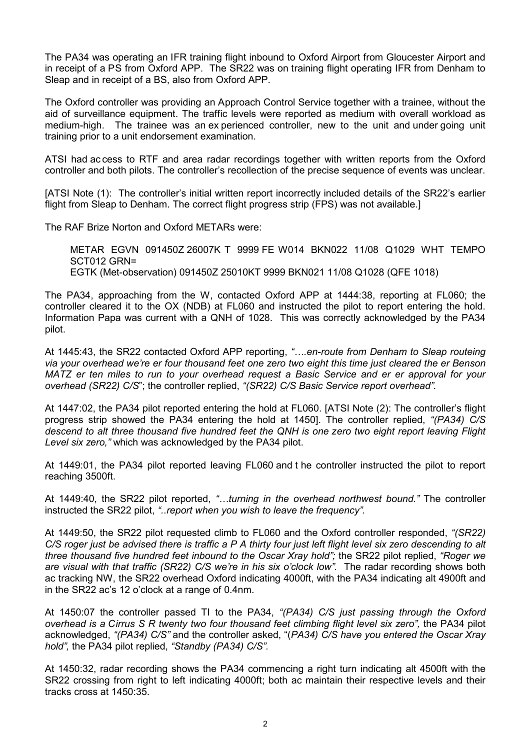The PA34 was operating an IFR training flight inbound to Oxford Airport from Gloucester Airport and in receipt of a PS from Oxford APP. The SR22 was on training flight operating IFR from Denham to Sleap and in receipt of a BS, also from Oxford APP.

The Oxford controller was providing an Approach Control Service together with a trainee, without the aid of surveillance equipment. The traffic levels were reported as medium with overall workload as medium-high. The trainee was an ex perienced controller, new to the unit and under going unit training prior to a unit endorsement examination.

ATSI had ac cess to RTF and area radar recordings together with written reports from the Oxford controller and both pilots. The controller's recollection of the precise sequence of events was unclear.

[ATSI Note (1): The controller's initial written report incorrectly included details of the SR22's earlier flight from Sleap to Denham. The correct flight progress strip (FPS) was not available.

The RAF Brize Norton and Oxford METARs were:

METAR EGVN 091450Z 26007K T 9999 FE W014 BKN022 11/08 Q1029 WHT TEMPO SCT012 GRN= EGTK (Met-observation) 091450Z 25010KT 9999 BKN021 11/08 Q1028 (QFE 1018)

The PA34, approaching from the W, contacted Oxford APP at 1444:38, reporting at FL060; the controller cleared it to the OX (NDB) at FL060 and instructed the pilot to report entering the hold. Information Papa was current with a QNH of 1028. This was correctly acknowledged by the PA34 pilot.

At 1445:43, the SR22 contacted Oxford APP reporting, *"….en-route from Denham to Sleap routeing via your overhead we're er four thousand feet one zero two eight this time just cleared the er Benson MATZ er ten miles to run to your overhead request a Basic Service and er er approval for your overhead (SR22) C/S*"; the controller replied, *"(SR22) C/S Basic Service report overhead".*

At 1447:02, the PA34 pilot reported entering the hold at FL060. [ATSI Note (2): The controller's flight progress strip showed the PA34 entering the hold at 1450]. The controller replied, *"(PA34) C/S descend to alt three thousand five hundred feet the QNH is one zero two eight report leaving Flight Level six zero,"* which was acknowledged by the PA34 pilot.

At 1449:01, the PA34 pilot reported leaving FL060 and t he controller instructed the pilot to report reaching 3500ft.

At 1449:40, the SR22 pilot reported, *"…turning in the overhead northwest bound."* The controller instructed the SR22 pilot, *"..report when you wish to leave the frequency".* 

At 1449:50, the SR22 pilot requested climb to FL060 and the Oxford controller responded, *"(SR22) C/S roger just be advised there is traffic a P A thirty four just left flight level six zero descending to alt three thousand five hundred feet inbound to the Oscar Xray hold";* the SR22 pilot replied, *"Roger we are visual with that traffic (SR22) C/S we're in his six o'clock low".* The radar recording shows both ac tracking NW, the SR22 overhead Oxford indicating 4000ft, with the PA34 indicating alt 4900ft and in the SR22 ac's 12 o'clock at a range of 0.4nm.

At 1450:07 the controller passed TI to the PA34, *"(PA34) C/S just passing through the Oxford overhead is a Cirrus S R twenty two four thousand feet climbing flight level six zero",* the PA34 pilot acknowledged, *"(PA34) C/S"* and the controller asked, "(*PA34) C/S have you entered the Oscar Xray hold",* the PA34 pilot replied, *"Standby (PA34) C/S".*

At 1450:32, radar recording shows the PA34 commencing a right turn indicating alt 4500ft with the SR22 crossing from right to left indicating 4000ft; both ac maintain their respective levels and their tracks cross at 1450:35.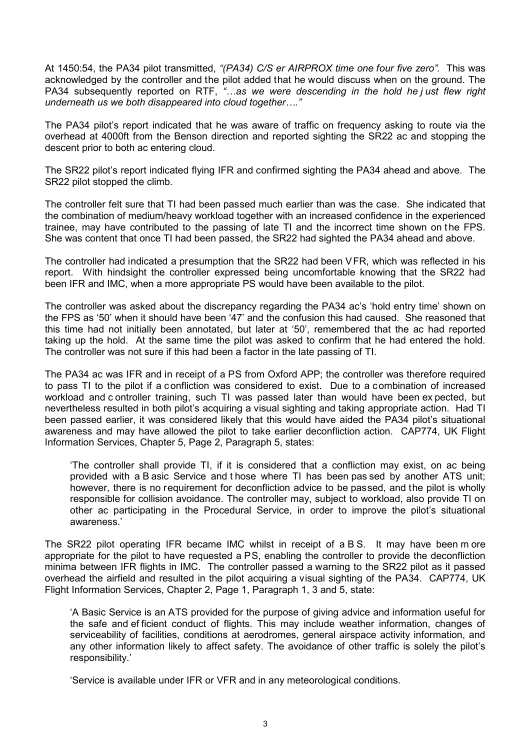At 1450:54, the PA34 pilot transmitted, *"(PA34) C/S er AIRPROX time one four five zero".* This was acknowledged by the controller and the pilot added that he would discuss when on the ground. The PA34 subsequently reported on RTF, *"…as we were descending in the hold he j ust flew right underneath us we both disappeared into cloud together…."*

The PA34 pilot's report indicated that he was aware of traffic on frequency asking to route via the overhead at 4000ft from the Benson direction and reported sighting the SR22 ac and stopping the descent prior to both ac entering cloud.

The SR22 pilot's report indicated flying IFR and confirmed sighting the PA34 ahead and above. The SR22 pilot stopped the climb.

The controller felt sure that TI had been passed much earlier than was the case. She indicated that the combination of medium/heavy workload together with an increased confidence in the experienced trainee, may have contributed to the passing of late TI and the incorrect time shown on the FPS. She was content that once TI had been passed, the SR22 had sighted the PA34 ahead and above.

The controller had indicated a presumption that the SR22 had been VFR, which was reflected in his report. With hindsight the controller expressed being uncomfortable knowing that the SR22 had been IFR and IMC, when a more appropriate PS would have been available to the pilot.

The controller was asked about the discrepancy regarding the PA34 ac's 'hold entry time' shown on the FPS as '50' when it should have been '47' and the confusion this had caused. She reasoned that this time had not initially been annotated, but later at '50', remembered that the ac had reported taking up the hold. At the same time the pilot was asked to confirm that he had entered the hold. The controller was not sure if this had been a factor in the late passing of TI.

The PA34 ac was IFR and in receipt of a PS from Oxford APP; the controller was therefore required to pass TI to the pilot if a confliction was considered to exist. Due to a combination of increased workload and c ontroller training, such TI was passed later than would have been ex pected, but nevertheless resulted in both pilot's acquiring a visual sighting and taking appropriate action. Had TI been passed earlier, it was considered likely that this would have aided the PA34 pilot's situational awareness and may have allowed the pilot to take earlier deconfliction action. CAP774, UK Flight Information Services, Chapter 5, Page 2, Paragraph 5, states:

'The controller shall provide TI, if it is considered that a confliction may exist, on ac being provided with a B asic Service and t hose where TI has been pas sed by another ATS unit; however, there is no requirement for deconfliction advice to be passed, and the pilot is wholly responsible for collision avoidance. The controller may, subject to workload, also provide TI on other ac participating in the Procedural Service, in order to improve the pilot's situational awareness.'

The SR22 pilot operating IFR became IMC whilst in receipt of a B S. It may have been m ore appropriate for the pilot to have requested a PS, enabling the controller to provide the deconfliction minima between IFR flights in IMC. The controller passed a warning to the SR22 pilot as it passed overhead the airfield and resulted in the pilot acquiring a visual sighting of the PA34. CAP774, UK Flight Information Services, Chapter 2, Page 1, Paragraph 1, 3 and 5, state:

'A Basic Service is an ATS provided for the purpose of giving advice and information useful for the safe and ef ficient conduct of flights. This may include weather information, changes of serviceability of facilities, conditions at aerodromes, general airspace activity information, and any other information likely to affect safety. The avoidance of other traffic is solely the pilot's responsibility.'

'Service is available under IFR or VFR and in any meteorological conditions.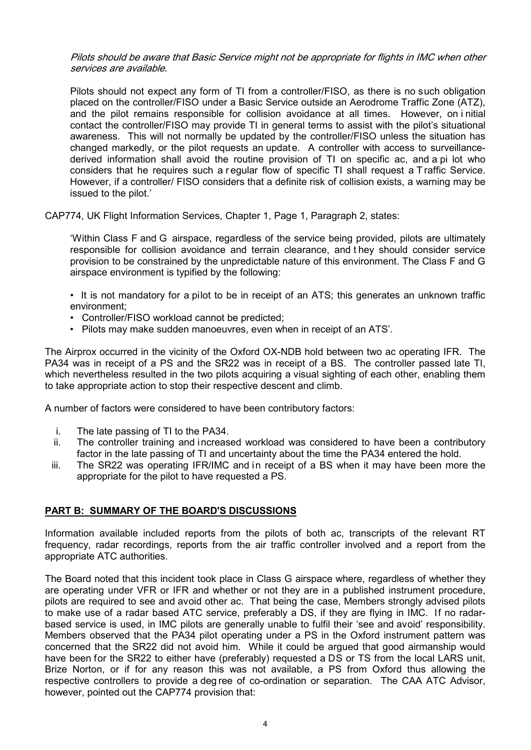Pilots should be aware that Basic Service might not be appropriate for flights in IMC when other services are available.

Pilots should not expect any form of TI from a controller/FISO, as there is no such obligation placed on the controller/FISO under a Basic Service outside an Aerodrome Traffic Zone (ATZ), and the pilot remains responsible for collision avoidance at all times. However, on i nitial contact the controller/FISO may provide TI in general terms to assist with the pilot's situational awareness. This will not normally be updated by the controller/FISO unless the situation has changed markedly, or the pilot requests an update. A controller with access to surveillancederived information shall avoid the routine provision of TI on specific ac, and a pi lot who considers that he requires such a r egular flow of specific TI shall request a T raffic Service. However, if a controller/ FISO considers that a definite risk of collision exists, a warning may be issued to the pilot.'

CAP774, UK Flight Information Services, Chapter 1, Page 1, Paragraph 2, states:

'Within Class F and G airspace, regardless of the service being provided, pilots are ultimately responsible for collision avoidance and terrain clearance, and t hey should consider service provision to be constrained by the unpredictable nature of this environment. The Class F and G airspace environment is typified by the following:

• It is not mandatory for a pilot to be in receipt of an ATS; this generates an unknown traffic environment;

- Controller/FISO workload cannot be predicted;
- Pilots may make sudden manoeuvres, even when in receipt of an ATS'.

The Airprox occurred in the vicinity of the Oxford OX-NDB hold between two ac operating IFR. The PA34 was in receipt of a PS and the SR22 was in receipt of a BS. The controller passed late TI, which nevertheless resulted in the two pilots acquiring a visual sighting of each other, enabling them to take appropriate action to stop their respective descent and climb.

A number of factors were considered to have been contributory factors:

- i. The late passing of TI to the PA34.
- ii. The controller training and increased workload was considered to have been a contributory factor in the late passing of TI and uncertainty about the time the PA34 entered the hold.
- iii. The SR22 was operating IFR/IMC and in receipt of a BS when it may have been more the appropriate for the pilot to have requested a PS.

## **PART B: SUMMARY OF THE BOARD'S DISCUSSIONS**

Information available included reports from the pilots of both ac, transcripts of the relevant RT frequency, radar recordings, reports from the air traffic controller involved and a report from the appropriate ATC authorities.

The Board noted that this incident took place in Class G airspace where, regardless of whether they are operating under VFR or IFR and whether or not they are in a published instrument procedure, pilots are required to see and avoid other ac. That being the case, Members strongly advised pilots to make use of a radar based ATC service, preferably a DS, if they are flying in IMC. If no radarbased service is used, in IMC pilots are generally unable to fulfil their 'see and avoid' responsibility. Members observed that the PA34 pilot operating under a PS in the Oxford instrument pattern was concerned that the SR22 did not avoid him. While it could be argued that good airmanship would have been for the SR22 to either have (preferably) requested a DS or TS from the local LARS unit, Brize Norton, or if for any reason this was not available, a PS from Oxford thus allowing the respective controllers to provide a deg ree of co-ordination or separation. The CAA ATC Advisor, however, pointed out the CAP774 provision that: